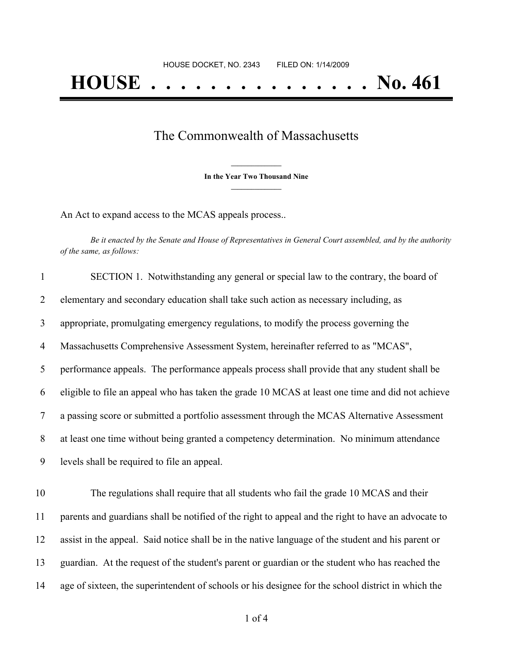## The Commonwealth of Massachusetts

**\_\_\_\_\_\_\_\_\_\_\_\_\_\_\_ In the Year Two Thousand Nine \_\_\_\_\_\_\_\_\_\_\_\_\_\_\_**

An Act to expand access to the MCAS appeals process..

Be it enacted by the Senate and House of Representatives in General Court assembled, and by the authority *of the same, as follows:*

| $\mathbf{1}$   | SECTION 1. Notwithstanding any general or special law to the contrary, the board of              |
|----------------|--------------------------------------------------------------------------------------------------|
| $\overline{2}$ | elementary and secondary education shall take such action as necessary including, as             |
| 3              | appropriate, promulgating emergency regulations, to modify the process governing the             |
| $\overline{4}$ | Massachusetts Comprehensive Assessment System, hereinafter referred to as "MCAS",                |
| 5              | performance appeals. The performance appeals process shall provide that any student shall be     |
| 6              | eligible to file an appeal who has taken the grade 10 MCAS at least one time and did not achieve |
| $\tau$         | a passing score or submitted a portfolio assessment through the MCAS Alternative Assessment      |
| 8              | at least one time without being granted a competency determination. No minimum attendance        |
| 9              | levels shall be required to file an appeal.                                                      |
|                |                                                                                                  |

 The regulations shall require that all students who fail the grade 10 MCAS and their parents and guardians shall be notified of the right to appeal and the right to have an advocate to assist in the appeal. Said notice shall be in the native language of the student and his parent or guardian. At the request of the student's parent or guardian or the student who has reached the age of sixteen, the superintendent of schools or his designee for the school district in which the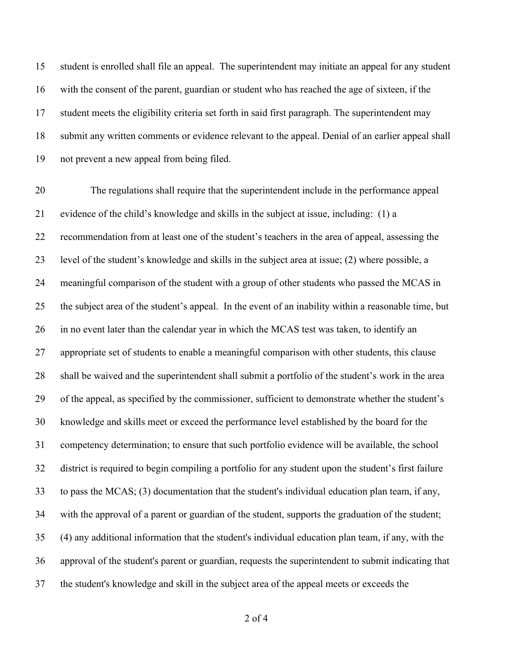student is enrolled shall file an appeal. The superintendent may initiate an appeal for any student with the consent of the parent, guardian or student who has reached the age of sixteen, if the student meets the eligibility criteria set forth in said first paragraph. The superintendent may submit any written comments or evidence relevant to the appeal. Denial of an earlier appeal shall not prevent a new appeal from being filed.

 The regulations shall require that the superintendent include in the performance appeal evidence of the child's knowledge and skills in the subject at issue, including: (1) a recommendation from at least one of the student's teachers in the area of appeal, assessing the level of the student's knowledge and skills in the subject area at issue; (2) where possible, a meaningful comparison of the student with a group of other students who passed the MCAS in the subject area of the student's appeal. In the event of an inability within a reasonable time, but in no event later than the calendar year in which the MCAS test was taken, to identify an appropriate set of students to enable a meaningful comparison with other students, this clause shall be waived and the superintendent shall submit a portfolio of the student's work in the area of the appeal, as specified by the commissioner, sufficient to demonstrate whether the student's knowledge and skills meet or exceed the performance level established by the board for the competency determination; to ensure that such portfolio evidence will be available, the school district is required to begin compiling a portfolio for any student upon the student's first failure to pass the MCAS; (3) documentation that the student's individual education plan team, if any, with the approval of a parent or guardian of the student, supports the graduation of the student; (4) any additional information that the student's individual education plan team, if any, with the approval of the student's parent or guardian, requests the superintendent to submit indicating that the student's knowledge and skill in the subject area of the appeal meets or exceeds the

of 4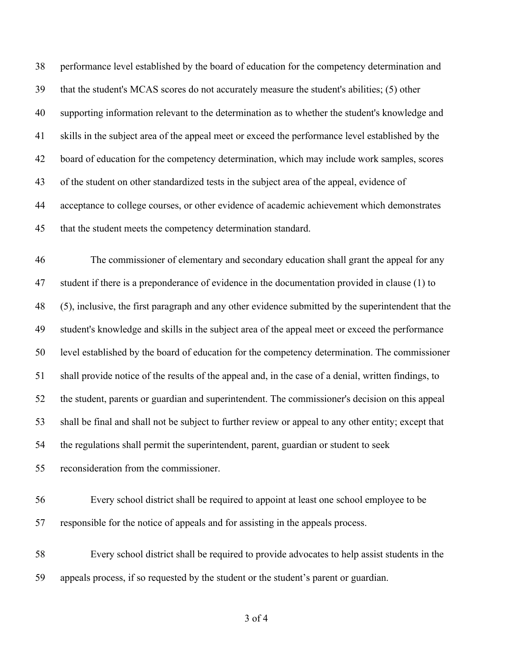performance level established by the board of education for the competency determination and that the student's MCAS scores do not accurately measure the student's abilities; (5) other supporting information relevant to the determination as to whether the student's knowledge and skills in the subject area of the appeal meet or exceed the performance level established by the board of education for the competency determination, which may include work samples, scores of the student on other standardized tests in the subject area of the appeal, evidence of acceptance to college courses, or other evidence of academic achievement which demonstrates that the student meets the competency determination standard.

 The commissioner of elementary and secondary education shall grant the appeal for any student if there is a preponderance of evidence in the documentation provided in clause (1) to (5), inclusive, the first paragraph and any other evidence submitted by the superintendent that the student's knowledge and skills in the subject area of the appeal meet or exceed the performance level established by the board of education for the competency determination. The commissioner shall provide notice of the results of the appeal and, in the case of a denial, written findings, to the student, parents or guardian and superintendent. The commissioner's decision on this appeal shall be final and shall not be subject to further review or appeal to any other entity; except that the regulations shall permit the superintendent, parent, guardian or student to seek reconsideration from the commissioner.

 Every school district shall be required to appoint at least one school employee to be responsible for the notice of appeals and for assisting in the appeals process.

 Every school district shall be required to provide advocates to help assist students in the appeals process, if so requested by the student or the student's parent or guardian.

of 4